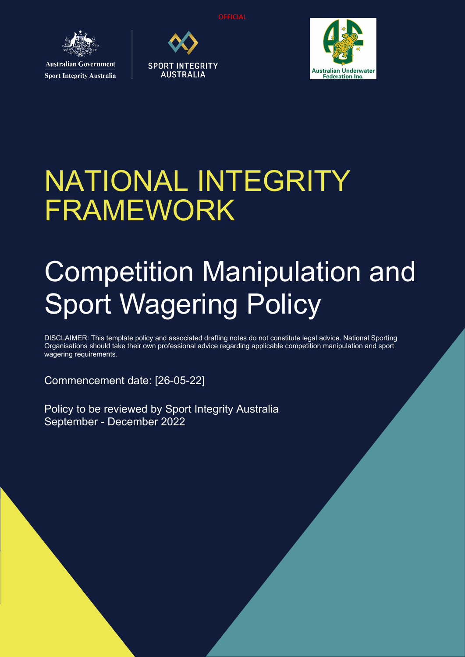**OFFICIAL** 



**Sport Integrity Australia** 





# NATIONAL INTEGRITY FRAMEWORK

# Competition Manipulation and Sport Wagering Policy

DISCLAIMER: This template policy and associated drafting notes do not constitute legal advice. National Sporting Organisations should take their own professional advice regarding applicable competition manipulation and sport wagering requirements.

Commencement date: [26-05-22]

Policy to be reviewed by Sport Integrity Australia September - December 2022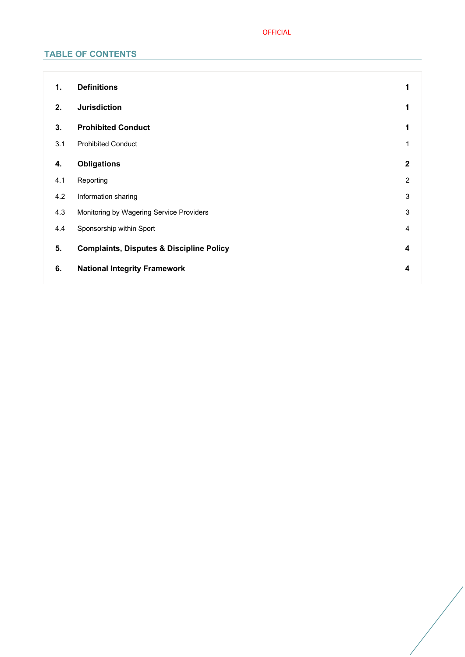## OFFICIAL

## **TABLE OF CONTENTS**

| 1.  | <b>Definitions</b>                                  | 1              |
|-----|-----------------------------------------------------|----------------|
| 2.  | <b>Jurisdiction</b>                                 | 1              |
| 3.  | <b>Prohibited Conduct</b>                           | 1              |
| 3.1 | <b>Prohibited Conduct</b>                           | 1              |
| 4.  | <b>Obligations</b>                                  | $\mathbf{2}$   |
| 4.1 | Reporting                                           | $\overline{2}$ |
| 4.2 | Information sharing                                 | 3              |
| 4.3 | Monitoring by Wagering Service Providers            | 3              |
| 4.4 | Sponsorship within Sport                            | $\overline{4}$ |
| 5.  | <b>Complaints, Disputes &amp; Discipline Policy</b> | 4              |
| 6.  | <b>National Integrity Framework</b>                 | 4              |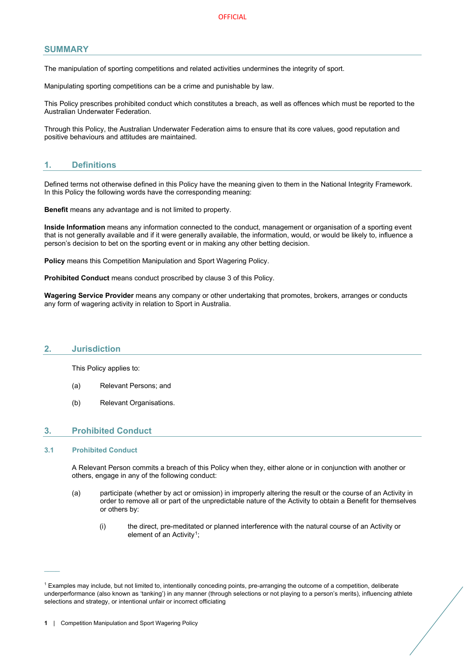## **SUMMARY**

The manipulation of sporting competitions and related activities undermines the integrity of sport.

Manipulating sporting competitions can be a crime and punishable by law.

This Policy prescribes prohibited conduct which constitutes a breach, as well as offences which must be reported to the Australian Underwater Federation.

Through this Policy, the Australian Underwater Federation aims to ensure that its core values, good reputation and positive behaviours and attitudes are maintained.

## <span id="page-2-0"></span>**1. Definitions**

Defined terms not otherwise defined in this Policy have the meaning given to them in the National Integrity Framework. In this Policy the following words have the corresponding meaning:

**Benefit** means any advantage and is not limited to property.

**Inside Information** means any information connected to the conduct, management or organisation of a sporting event that is not generally available and if it were generally available, the information, would, or would be likely to, influence a person's decision to bet on the sporting event or in making any other betting decision.

**Policy** means this Competition Manipulation and Sport Wagering Policy.

**Prohibited Conduct** means conduct proscribed by clause [3](#page-2-2) of this Policy.

**Wagering Service Provider** means any company or other undertaking that promotes, brokers, arranges or conducts any form of wagering activity in relation to Sport in Australia.

#### <span id="page-2-1"></span>**2. Jurisdiction**

This Policy applies to:

- (a) Relevant Persons; and
- (b) Relevant Organisations.

## <span id="page-2-2"></span>**3. Prohibited Conduct**

#### <span id="page-2-3"></span>**3.1 Prohibited Conduct**

 $\overline{\phantom{a}}$ 

A Relevant Person commits a breach of this Policy when they, either alone or in conjunction with another or others, engage in any of the following conduct:

- (a) participate (whether by act or omission) in improperly altering the result or the course of an Activity in order to remove all or part of the unpredictable nature of the Activity to obtain a Benefit for themselves or others by:
	- (i) the direct, pre-meditated or planned interference with the natural course of an Activity or element of an Activity<sup>[1](#page-2-4)</sup>:

<span id="page-2-4"></span><sup>1</sup> Examples may include, but not limited to, intentionally conceding points, pre-arranging the outcome of a competition, deliberate underperformance (also known as 'tanking') in any manner (through selections or not playing to a person's merits), influencing athlete selections and strategy, or intentional unfair or incorrect officiating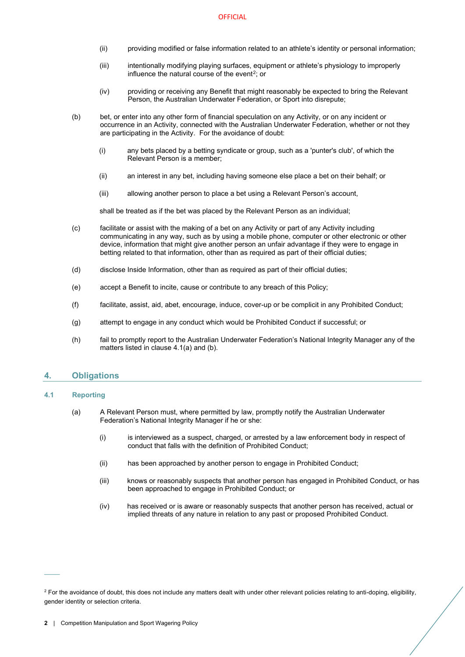- (ii) providing modified or false information related to an athlete's identity or personal information;
- (iii) intentionally modifying playing surfaces, equipment or athlete's physiology to improperly influence the natural course of the event<sup>2</sup>; or
- (iv) providing or receiving any Benefit that might reasonably be expected to bring the Relevant Person, the Australian Underwater Federation, or Sport into disrepute;
- (b) bet, or enter into any other form of financial speculation on any Activity, or on any incident or occurrence in an Activity, connected with the Australian Underwater Federation, whether or not they are participating in the Activity. For the avoidance of doubt:
	- (i) any bets placed by a betting syndicate or group, such as a 'punter's club', of which the Relevant Person is a member;
	- (ii) an interest in any bet, including having someone else place a bet on their behalf; or
	- (iii) allowing another person to place a bet using a Relevant Person's account,

shall be treated as if the bet was placed by the Relevant Person as an individual;

- (c) facilitate or assist with the making of a bet on any Activity or part of any Activity including communicating in any way, such as by using a mobile phone, computer or other electronic or other device, information that might give another person an unfair advantage if they were to engage in betting related to that information, other than as required as part of their official duties;
- (d) disclose Inside Information, other than as required as part of their official duties;
- (e) accept a Benefit to incite, cause or contribute to any breach of this Policy;
- (f) facilitate, assist, aid, abet, encourage, induce, cover-up or be complicit in any Prohibited Conduct;
- (g) attempt to engage in any conduct which would be Prohibited Conduct if successful; or
- (h) fail to promptly report to the Australian Underwater Federation's National Integrity Manager any of the matters listed in clause [4.1](#page-3-1)[\(a\)](#page-3-2) an[d \(b\).](#page-4-2)

### <span id="page-3-0"></span>**4. Obligations**

#### <span id="page-3-2"></span><span id="page-3-1"></span>**4.1 Reporting**

- (a) A Relevant Person must, where permitted by law, promptly notify the Australian Underwater Federation's National Integrity Manager if he or she:
	- (i) is interviewed as a suspect, charged, or arrested by a law enforcement body in respect of conduct that falls with the definition of Prohibited Conduct;
	- (ii) has been approached by another person to engage in Prohibited Conduct;
	- (iii) knows or reasonably suspects that another person has engaged in Prohibited Conduct, or has been approached to engage in Prohibited Conduct; or
	- (iv) has received or is aware or reasonably suspects that another person has received, actual or implied threats of any nature in relation to any past or proposed Prohibited Conduct.

<span id="page-3-3"></span><sup>&</sup>lt;sup>2</sup> For the avoidance of doubt, this does not include any matters dealt with under other relevant policies relating to anti-doping, eligibility, gender identity or selection criteria.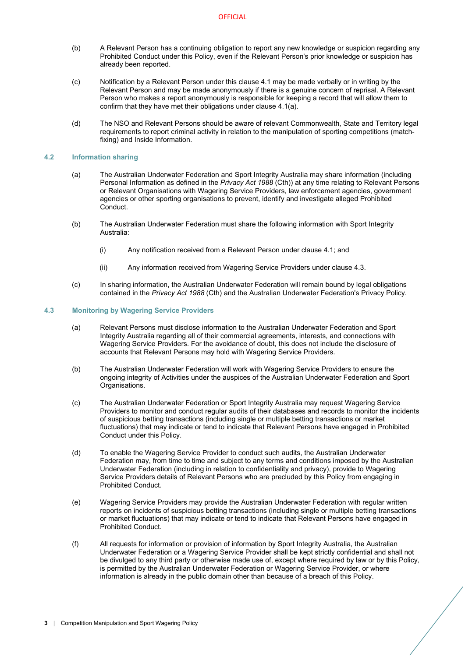- <span id="page-4-2"></span>(b) A Relevant Person has a continuing obligation to report any new knowledge or suspicion regarding any Prohibited Conduct under this Policy, even if the Relevant Person's prior knowledge or suspicion has already been reported.
- (c) Notification by a Relevant Person under this clause [4.1](#page-3-1) may be made verbally or in writing by the Relevant Person and may be made anonymously if there is a genuine concern of reprisal. A Relevant Person who makes a report anonymously is responsible for keeping a record that will allow them to confirm that they have met their obligations under clause [4.1](#page-3-1)[\(a\).](#page-3-2)
- (d) The NSO and Relevant Persons should be aware of relevant Commonwealth, State and Territory legal requirements to report criminal activity in relation to the manipulation of sporting competitions (matchfixing) and Inside Information.

#### <span id="page-4-0"></span>**4.2 Information sharing**

- (a) The Australian Underwater Federation and Sport Integrity Australia may share information (including Personal Information as defined in the *Privacy Act 1988* (Cth)) at any time relating to Relevant Persons or Relevant Organisations with Wagering Service Providers, law enforcement agencies, government agencies or other sporting organisations to prevent, identify and investigate alleged Prohibited Conduct.
- (b) The Australian Underwater Federation must share the following information with Sport Integrity Australia:
	- (i) Any notification received from a Relevant Person under claus[e 4.1;](#page-3-1) and
	- (ii) Any information received from Wagering Service Providers under claus[e 4.3.](#page-4-1)
- (c) In sharing information, the Australian Underwater Federation will remain bound by legal obligations contained in the *Privacy Act 1988* (Cth) and the Australian Underwater Federation's Privacy Policy.

#### <span id="page-4-1"></span>**4.3 Monitoring by Wagering Service Providers**

- (a) Relevant Persons must disclose information to the Australian Underwater Federation and Sport Integrity Australia regarding all of their commercial agreements, interests, and connections with Wagering Service Providers. For the avoidance of doubt, this does not include the disclosure of accounts that Relevant Persons may hold with Wagering Service Providers.
- (b) The Australian Underwater Federation will work with Wagering Service Providers to ensure the ongoing integrity of Activities under the auspices of the Australian Underwater Federation and Sport Organisations.
- (c) The Australian Underwater Federation or Sport Integrity Australia may request Wagering Service Providers to monitor and conduct regular audits of their databases and records to monitor the incidents of suspicious betting transactions (including single or multiple betting transactions or market fluctuations) that may indicate or tend to indicate that Relevant Persons have engaged in Prohibited Conduct under this Policy.
- (d) To enable the Wagering Service Provider to conduct such audits, the Australian Underwater Federation may, from time to time and subject to any terms and conditions imposed by the Australian Underwater Federation (including in relation to confidentiality and privacy), provide to Wagering Service Providers details of Relevant Persons who are precluded by this Policy from engaging in Prohibited Conduct.
- (e) Wagering Service Providers may provide the Australian Underwater Federation with regular written reports on incidents of suspicious betting transactions (including single or multiple betting transactions or market fluctuations) that may indicate or tend to indicate that Relevant Persons have engaged in Prohibited Conduct.
- (f) All requests for information or provision of information by Sport Integrity Australia, the Australian Underwater Federation or a Wagering Service Provider shall be kept strictly confidential and shall not be divulged to any third party or otherwise made use of, except where required by law or by this Policy, is permitted by the Australian Underwater Federation or Wagering Service Provider, or where information is already in the public domain other than because of a breach of this Policy.